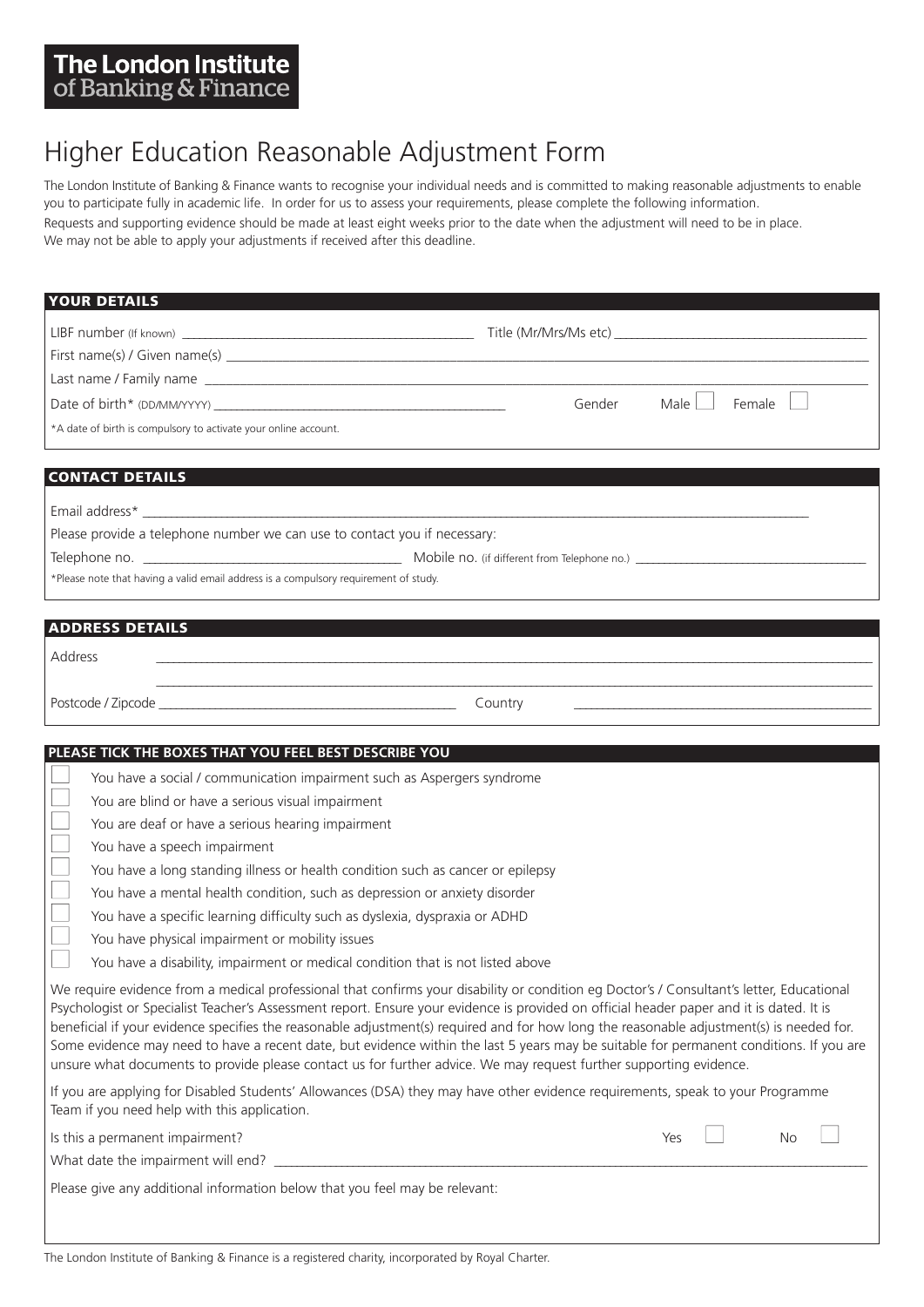## The London Institute of Banking & Finance

# Higher Education Reasonable Adjustment Form

The London Institute of Banking & Finance wants to recognise your individual needs and is committed to making reasonable adjustments to enable you to participate fully in academic life. In order for us to assess your requirements, please complete the following information.

Requests and supporting evidence should be made at least eight weeks prior to the date when the adjustment will need to be in place. We may not be able to apply your adjustments if received after this deadline.

| <b>YOUR DETAILS</b>                                                                                                                                                                                                                                                                                                                                                                                                                                                                                                                                                                                                                                                                                |                          |
|----------------------------------------------------------------------------------------------------------------------------------------------------------------------------------------------------------------------------------------------------------------------------------------------------------------------------------------------------------------------------------------------------------------------------------------------------------------------------------------------------------------------------------------------------------------------------------------------------------------------------------------------------------------------------------------------------|--------------------------|
|                                                                                                                                                                                                                                                                                                                                                                                                                                                                                                                                                                                                                                                                                                    |                          |
|                                                                                                                                                                                                                                                                                                                                                                                                                                                                                                                                                                                                                                                                                                    |                          |
|                                                                                                                                                                                                                                                                                                                                                                                                                                                                                                                                                                                                                                                                                                    |                          |
|                                                                                                                                                                                                                                                                                                                                                                                                                                                                                                                                                                                                                                                                                                    | Male<br>Gender<br>Female |
| *A date of birth is compulsory to activate your online account.                                                                                                                                                                                                                                                                                                                                                                                                                                                                                                                                                                                                                                    |                          |
|                                                                                                                                                                                                                                                                                                                                                                                                                                                                                                                                                                                                                                                                                                    |                          |
| <b>CONTACT DETAILS</b>                                                                                                                                                                                                                                                                                                                                                                                                                                                                                                                                                                                                                                                                             |                          |
| <u> 1989 - Januar Alexandri, martxa amerikan dago eta gainarra (h. 1988).</u><br>Email address*                                                                                                                                                                                                                                                                                                                                                                                                                                                                                                                                                                                                    |                          |
| Please provide a telephone number we can use to contact you if necessary:                                                                                                                                                                                                                                                                                                                                                                                                                                                                                                                                                                                                                          |                          |
|                                                                                                                                                                                                                                                                                                                                                                                                                                                                                                                                                                                                                                                                                                    |                          |
| *Please note that having a valid email address is a compulsory requirement of study.                                                                                                                                                                                                                                                                                                                                                                                                                                                                                                                                                                                                               |                          |
|                                                                                                                                                                                                                                                                                                                                                                                                                                                                                                                                                                                                                                                                                                    |                          |
| <b>ADDRESS DETAILS</b>                                                                                                                                                                                                                                                                                                                                                                                                                                                                                                                                                                                                                                                                             |                          |
| Address                                                                                                                                                                                                                                                                                                                                                                                                                                                                                                                                                                                                                                                                                            |                          |
|                                                                                                                                                                                                                                                                                                                                                                                                                                                                                                                                                                                                                                                                                                    |                          |
|                                                                                                                                                                                                                                                                                                                                                                                                                                                                                                                                                                                                                                                                                                    | Country                  |
|                                                                                                                                                                                                                                                                                                                                                                                                                                                                                                                                                                                                                                                                                                    |                          |
| PLEASE TICK THE BOXES THAT YOU FEEL BEST DESCRIBE YOU                                                                                                                                                                                                                                                                                                                                                                                                                                                                                                                                                                                                                                              |                          |
| You have a social / communication impairment such as Aspergers syndrome                                                                                                                                                                                                                                                                                                                                                                                                                                                                                                                                                                                                                            |                          |
| You are blind or have a serious visual impairment                                                                                                                                                                                                                                                                                                                                                                                                                                                                                                                                                                                                                                                  |                          |
| You are deaf or have a serious hearing impairment                                                                                                                                                                                                                                                                                                                                                                                                                                                                                                                                                                                                                                                  |                          |
| You have a speech impairment<br>You have a long standing illness or health condition such as cancer or epilepsy                                                                                                                                                                                                                                                                                                                                                                                                                                                                                                                                                                                    |                          |
| You have a mental health condition, such as depression or anxiety disorder                                                                                                                                                                                                                                                                                                                                                                                                                                                                                                                                                                                                                         |                          |
| You have a specific learning difficulty such as dyslexia, dyspraxia or ADHD                                                                                                                                                                                                                                                                                                                                                                                                                                                                                                                                                                                                                        |                          |
| You have physical impairment or mobility issues                                                                                                                                                                                                                                                                                                                                                                                                                                                                                                                                                                                                                                                    |                          |
| You have a disability, impairment or medical condition that is not listed above                                                                                                                                                                                                                                                                                                                                                                                                                                                                                                                                                                                                                    |                          |
| We require evidence from a medical professional that confirms your disability or condition eg Doctor's / Consultant's letter, Educational<br>Psychologist or Specialist Teacher's Assessment report. Ensure your evidence is provided on official header paper and it is dated. It is<br>beneficial if your evidence specifies the reasonable adjustment(s) required and for how long the reasonable adjustment(s) is needed for.<br>Some evidence may need to have a recent date, but evidence within the last 5 years may be suitable for permanent conditions. If you are<br>unsure what documents to provide please contact us for further advice. We may request further supporting evidence. |                          |
| If you are applying for Disabled Students' Allowances (DSA) they may have other evidence requirements, speak to your Programme<br>Team if you need help with this application.                                                                                                                                                                                                                                                                                                                                                                                                                                                                                                                     |                          |
| Is this a permanent impairment?                                                                                                                                                                                                                                                                                                                                                                                                                                                                                                                                                                                                                                                                    | Yes<br><b>No</b>         |
|                                                                                                                                                                                                                                                                                                                                                                                                                                                                                                                                                                                                                                                                                                    |                          |
| Please give any additional information below that you feel may be relevant:                                                                                                                                                                                                                                                                                                                                                                                                                                                                                                                                                                                                                        |                          |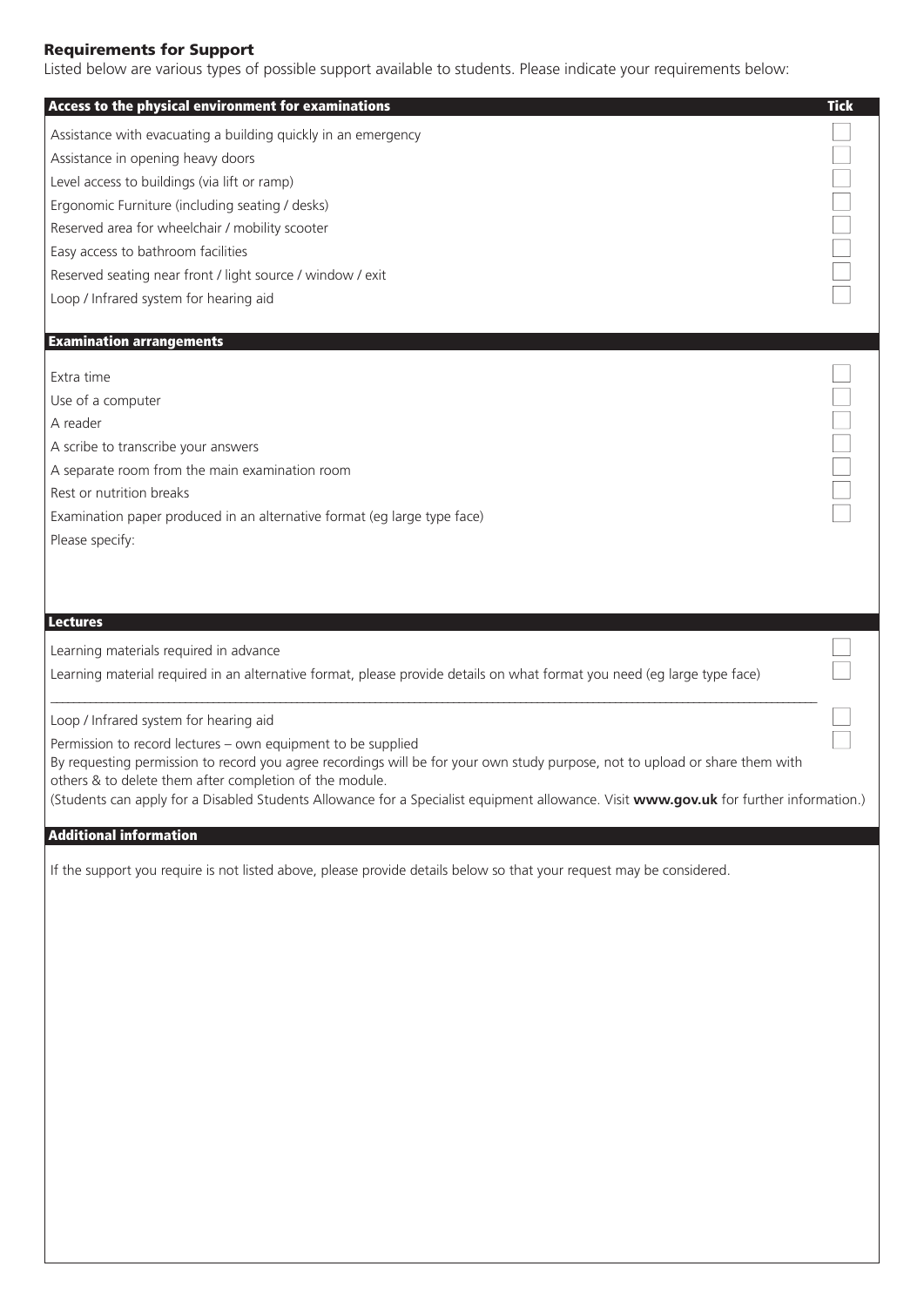### **Requirements for Support**

Listed below are various types of possible support available to students. Please indicate your requirements below:

| Access to the physical environment for examinations                                                                                    | <b>Tick</b> |
|----------------------------------------------------------------------------------------------------------------------------------------|-------------|
| Assistance with evacuating a building quickly in an emergency                                                                          |             |
| Assistance in opening heavy doors                                                                                                      |             |
| Level access to buildings (via lift or ramp)                                                                                           |             |
| Ergonomic Furniture (including seating / desks)                                                                                        |             |
| Reserved area for wheelchair / mobility scooter                                                                                        |             |
| Easy access to bathroom facilities                                                                                                     |             |
| Reserved seating near front / light source / window / exit                                                                             |             |
| Loop / Infrared system for hearing aid                                                                                                 |             |
|                                                                                                                                        |             |
| <b>Examination arrangements</b>                                                                                                        |             |
| Extra time                                                                                                                             |             |
| Use of a computer                                                                                                                      |             |
| A reader                                                                                                                               |             |
| A scribe to transcribe your answers                                                                                                    |             |
| A separate room from the main examination room                                                                                         |             |
| Rest or nutrition breaks                                                                                                               |             |
| Examination paper produced in an alternative format (eg large type face)                                                               |             |
| Please specify:                                                                                                                        |             |
|                                                                                                                                        |             |
|                                                                                                                                        |             |
| <b>Lectures</b>                                                                                                                        |             |
| Learning materials required in advance                                                                                                 |             |
| Learning material required in an alternative format, please provide details on what format you need (eg large type face)               |             |
|                                                                                                                                        |             |
| Loop / Infrared system for hearing aid                                                                                                 |             |
| Permission to record lectures - own equipment to be supplied                                                                           |             |
| By requesting permission to record you agree recordings will be for your own study purpose, not to upload or share them with           |             |
| others & to delete them after completion of the module.                                                                                |             |
| (Students can apply for a Disabled Students Allowance for a Specialist equipment allowance. Visit www.gov.uk for further information.) |             |
| <b>Additional information</b>                                                                                                          |             |
| If the support you require is not listed above, please provide details below so that your request may be considered.                   |             |
|                                                                                                                                        |             |
|                                                                                                                                        |             |
|                                                                                                                                        |             |
|                                                                                                                                        |             |
|                                                                                                                                        |             |
|                                                                                                                                        |             |
|                                                                                                                                        |             |
|                                                                                                                                        |             |
|                                                                                                                                        |             |
|                                                                                                                                        |             |
|                                                                                                                                        |             |
|                                                                                                                                        |             |
|                                                                                                                                        |             |
|                                                                                                                                        |             |